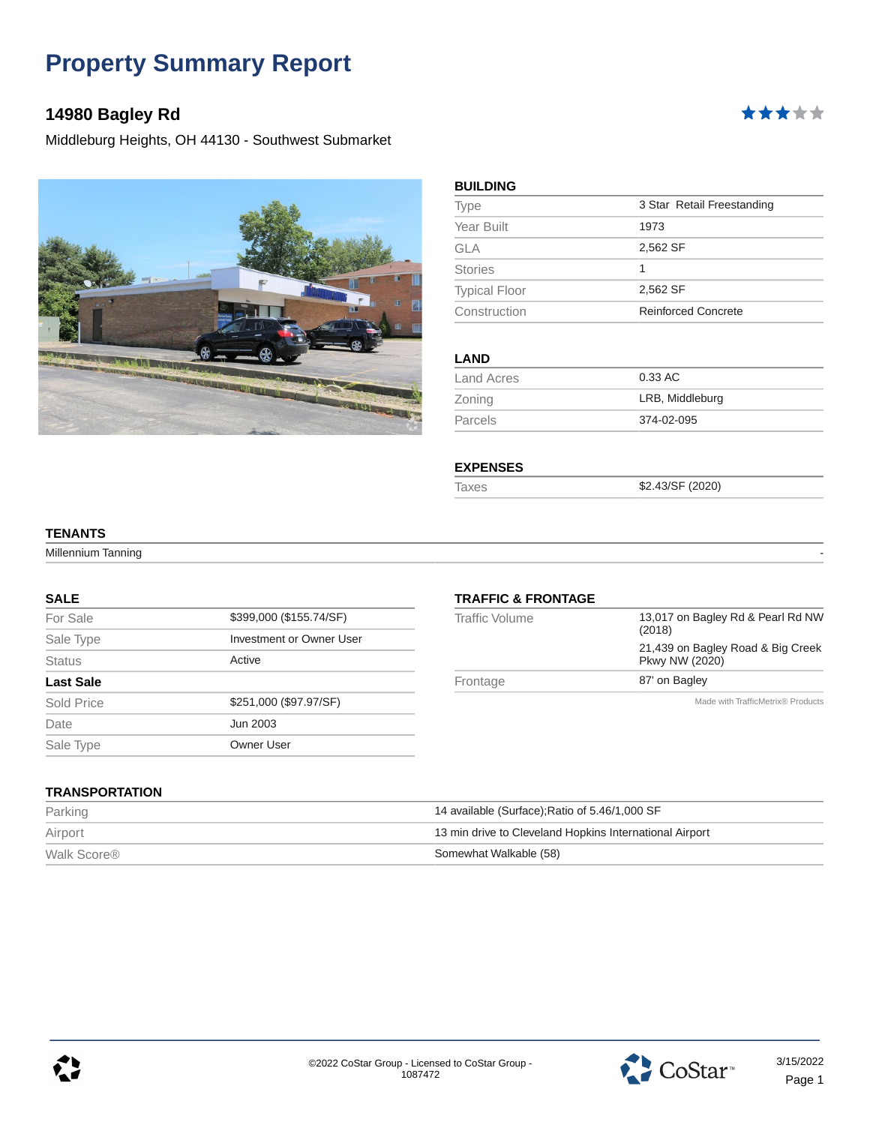# **14980 Bagley Rd**

Middleburg Heights, OH 44130 - Southwest Submarket



| <b>BUILDING</b>      |                            |
|----------------------|----------------------------|
| <b>Type</b>          | 3 Star Retail Freestanding |
| Year Built           | 1973                       |
| GLA                  | 2,562 SF                   |
| <b>Stories</b>       | 1                          |
| <b>Typical Floor</b> | 2,562 SF                   |
| Construction         | <b>Reinforced Concrete</b> |
| <b>LAND</b>          |                            |
| <b>Land Acres</b>    | 0.33 AC                    |
| Zoning               | LRB, Middleburg            |
| Parcels              | 374-02-095                 |

#### **EXPENSES**

Taxes \$2.43/SF (2020)

#### **TENANTS**

Millennium Tanning

#### **SALE**

| For Sale         | \$399,000 (\$155.74/SF)  |
|------------------|--------------------------|
| Sale Type        | Investment or Owner User |
| <b>Status</b>    | Active                   |
| <b>Last Sale</b> |                          |
| Sold Price       | \$251,000 (\$97.97/SF)   |
| Date             | Jun 2003                 |
| Sale Type        | Owner User               |
|                  |                          |

#### **TRAFFIC & FRONTAGE** Traffic Volume 13,017 on Bagley Rd & Pearl Rd NW

|                  | Made with TrafficMetrix® Products                           |
|------------------|-------------------------------------------------------------|
| Frontage         | 87' on Bagley                                               |
|                  | 21,439 on Bagley Road & Big Creek<br>Pkwy NW (2020)         |
| TIAIIIU VUIUIIIU | $19.011$ off Dagicy that at loan that in $\theta$<br>(2018) |

**TRANSPORTATION**

| Parking                 | 14 available (Surface); Ratio of 5.46/1,000 SF          |
|-------------------------|---------------------------------------------------------|
| Airport                 | 13 min drive to Cleveland Hopkins International Airport |
| Walk Score <sup>®</sup> | Somewhat Walkable (58)                                  |



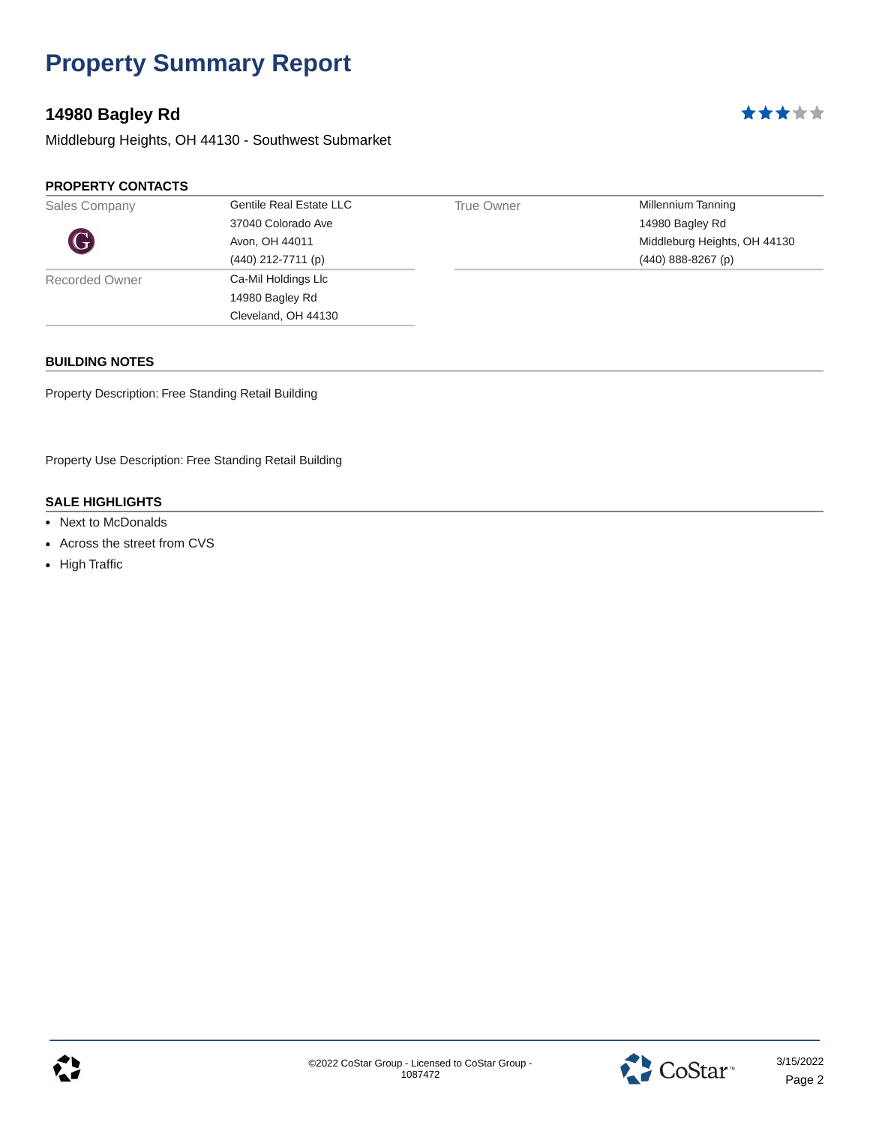# **14980 Bagley Rd**

Middleburg Heights, OH 44130 - Southwest Submarket

#### **PROPERTY CONTACTS**

| Sales Company  | <b>Gentile Real Estate LLC</b> | True Owner | Millennium Tanning           |
|----------------|--------------------------------|------------|------------------------------|
|                | 37040 Colorado Ave             |            | 14980 Bagley Rd              |
| G              | Avon, OH 44011                 |            | Middleburg Heights, OH 44130 |
|                | $(440)$ 212-7711 (p)           |            | $(440)$ 888-8267 (p)         |
| Recorded Owner | Ca-Mil Holdings Llc            |            |                              |
|                | 14980 Bagley Rd                |            |                              |
|                | Cleveland, OH 44130            |            |                              |
|                |                                |            |                              |

#### **BUILDING NOTES**

Property Description: Free Standing Retail Building

Property Use Description: Free Standing Retail Building

- Next to McDonalds
- Across the street from CVS
- High Traffic



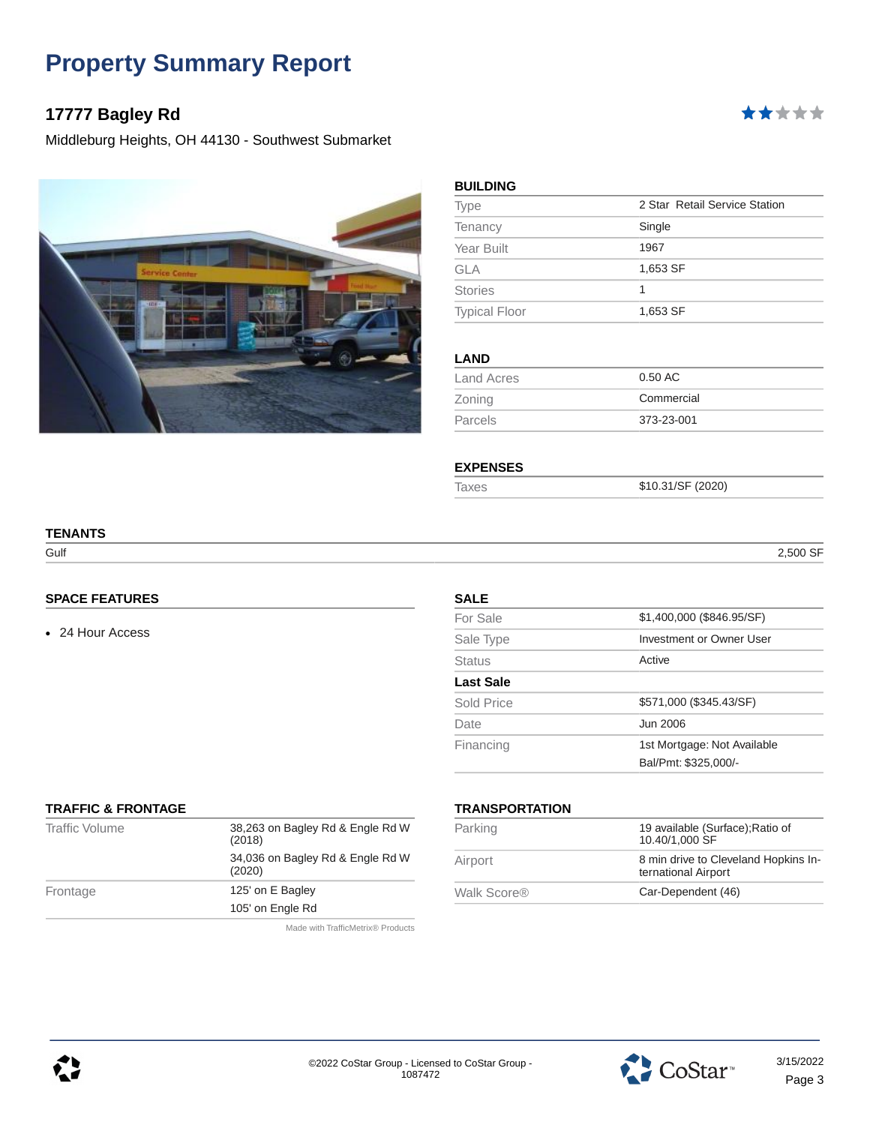# **17777 Bagley Rd**

Middleburg Heights, OH 44130 - Southwest Submarket



| Type                 | 2 Star Retail Service Station |
|----------------------|-------------------------------|
| Tenancy              | Single                        |
| Year Built           | 1967                          |
| <b>GLA</b>           | 1,653 SF                      |
| <b>Stories</b>       | 1                             |
| <b>Typical Floor</b> | 1,653 SF                      |

| Land Acres     | $0.50$ AC  |
|----------------|------------|
| Zoning         | Commercial |
| <b>Parcels</b> | 373-23-001 |
|                |            |

#### **EXPENSES**

Taxes \$10.31/SF (2020)

#### Gulf 2,500 SF

\*\*\*\*\*

# **TENANTS**

#### **SPACE FEATURES**

• 24 Hour Access

| <b>SALE</b>      |                             |
|------------------|-----------------------------|
| For Sale         | \$1,400,000 (\$846.95/SF)   |
| Sale Type        | Investment or Owner User    |
| <b>Status</b>    | Active                      |
| <b>Last Sale</b> |                             |
| Sold Price       | \$571,000 (\$345.43/SF)     |
| Date             | Jun 2006                    |
| Financing        | 1st Mortgage: Not Available |
|                  | Bal/Pmt: \$325.000/-        |

#### **TRAFFIC & FRONTAGE**

| <b>Traffic Volume</b> | 38,263 on Bagley Rd & Engle Rd W<br>(2018) |
|-----------------------|--------------------------------------------|
|                       | 34,036 on Bagley Rd & Engle Rd W<br>(2020) |
| Frontage              | 125' on E Bagley                           |
|                       | 105' on Engle Rd                           |
|                       |                                            |

### **TRANSPORTATION**

| Parking     | 19 available (Surface); Ratio of<br>10.40/1.000 SF          |  |
|-------------|-------------------------------------------------------------|--|
| Airport     | 8 min drive to Cleveland Hopkins In-<br>ternational Airport |  |
| Walk Score® | Car-Dependent (46)                                          |  |
|             |                                                             |  |

Made with TrafficMetrix® Products



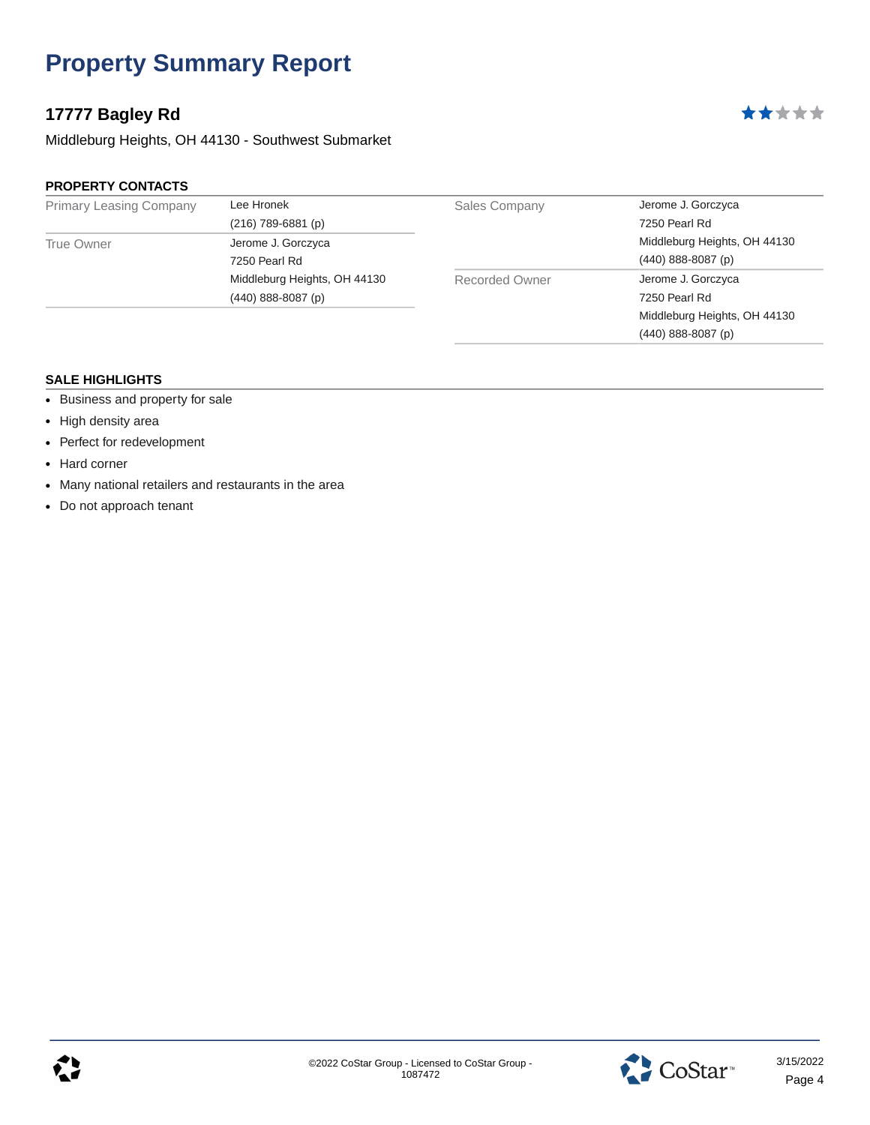# **17777 Bagley Rd**

Middleburg Heights, OH 44130 - Southwest Submarket

#### **PROPERTY CONTACTS**

| <b>Primary Leasing Company</b> | Lee Hronek                   | <b>Sales Company</b> | Jerome J. Gorczyca           |  |
|--------------------------------|------------------------------|----------------------|------------------------------|--|
|                                | $(216)$ 789-6881 (p)         |                      | 7250 Pearl Rd                |  |
| <b>True Owner</b>              | Jerome J. Gorczyca           |                      | Middleburg Heights, OH 44130 |  |
|                                | 7250 Pearl Rd                |                      | $(440)$ 888-8087 (p)         |  |
|                                | Middleburg Heights, OH 44130 | Recorded Owner       | Jerome J. Gorczyca           |  |
|                                | $(440)$ 888-8087 (p)         |                      | 7250 Pearl Rd                |  |
|                                |                              |                      | Middleburg Heights, OH 44130 |  |
|                                |                              |                      | $(440)$ 888-8087 $(p)$       |  |

- Business and property for sale
- High density area
- Perfect for redevelopment
- Hard corner
- Many national retailers and restaurants in the area
- Do not approach tenant





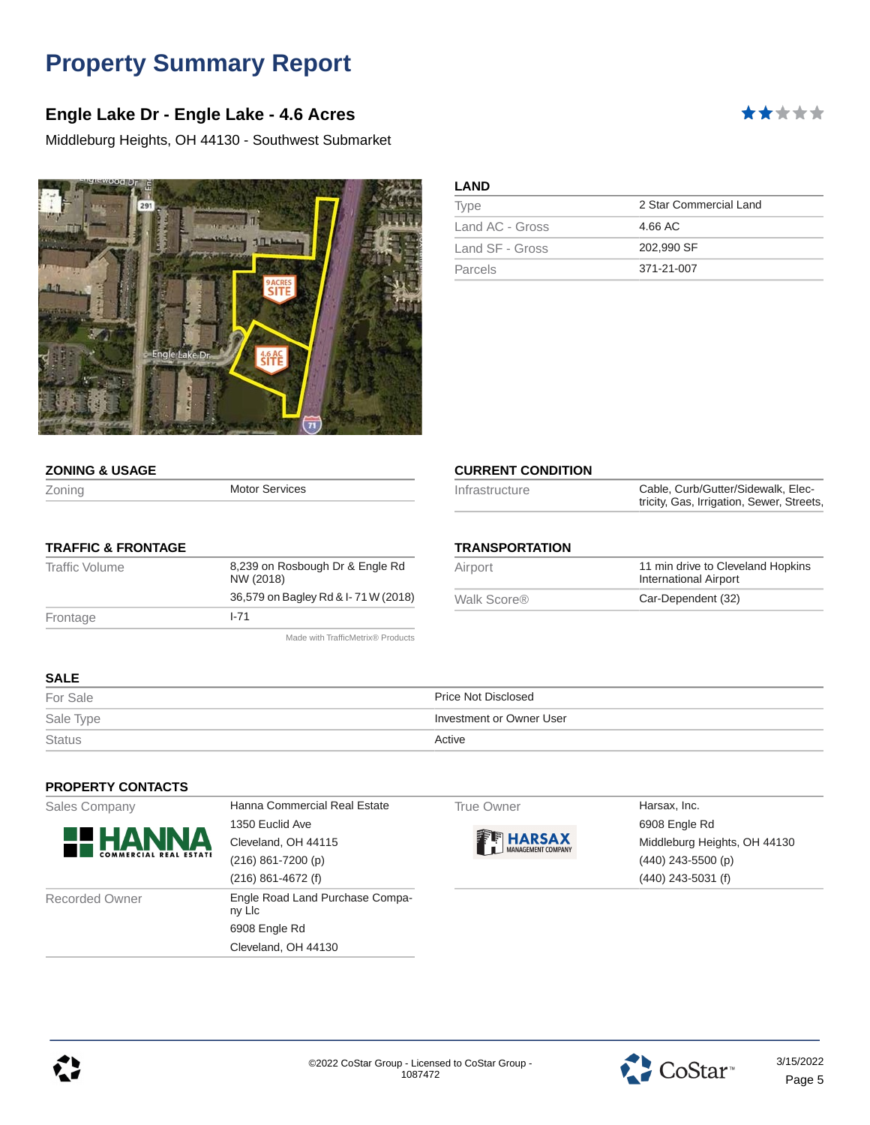### **Engle Lake Dr - Engle Lake - 4.6 Acres**

Middleburg Heights, OH 44130 - Southwest Submarket



| ***** |  |  |
|-------|--|--|

| ND. |  |
|-----|--|
|     |  |

| Type            | 2 Star Commercial Land |
|-----------------|------------------------|
| Land AC - Gross | 4.66 AC                |
| Land SF - Gross | 202.990 SF             |
| Parcels         | 371-21-007             |

| <b>ZONING &amp; USAGE</b> |  |
|---------------------------|--|
|                           |  |

| Zoning | <b>Motor Services</b> |
|--------|-----------------------|
|        |                       |

#### **TRAFFIC & FRONTAGE**

| Traffic Volume | 8,239 on Rosbough Dr & Engle Rd<br>NW (2018) |  |
|----------------|----------------------------------------------|--|
|                | 36,579 on Bagley Rd & I-71 W (2018)          |  |
| Frontage       | $1 - 71$                                     |  |
|                |                                              |  |

Made with TrafficMetrix® Products

#### **CURRENT CONDITION**

#### **TRANSPORTATION**

| Airport     | 11 min drive to Cleveland Hopkins<br><b>International Airport</b> |
|-------------|-------------------------------------------------------------------|
| Walk Score® | Car-Dependent (32)                                                |

### **SALE**

| For Sale      | Price Not Disclosed      |
|---------------|--------------------------|
| Sale Type     | Investment or Owner User |
| <b>Status</b> | Active                   |

#### **PROPERTY CONTACTS**

|  | Sales Company |
|--|---------------|
|--|---------------|



Hanna Commercial Real Estate 1350 Euclid Ave Cleveland, OH 44115 (216) 861-7200 (p) (216) 861-4672 (f) Recorded Owner **Engle Road Land Purchase Compa**ny Llc 6908 Engle Rd Cleveland, OH 44130

#### True Owner **Harsax**, Inc.



6908 Engle Rd Middleburg Heights, OH 44130 (440) 243-5500 (p) (440) 243-5031 (f)



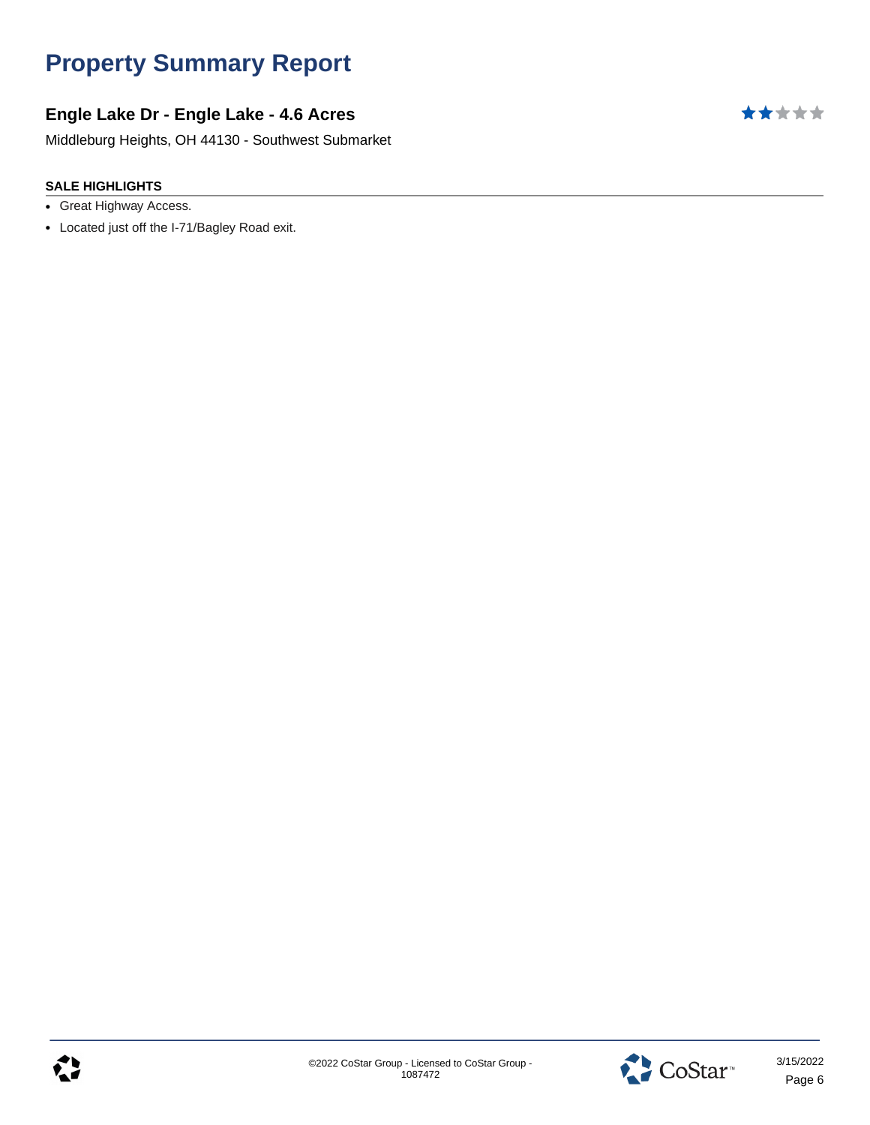# **Engle Lake Dr - Engle Lake - 4.6 Acres**

Middleburg Heights, OH 44130 - Southwest Submarket

- Great Highway Access.
- Located just off the I-71/Bagley Road exit.



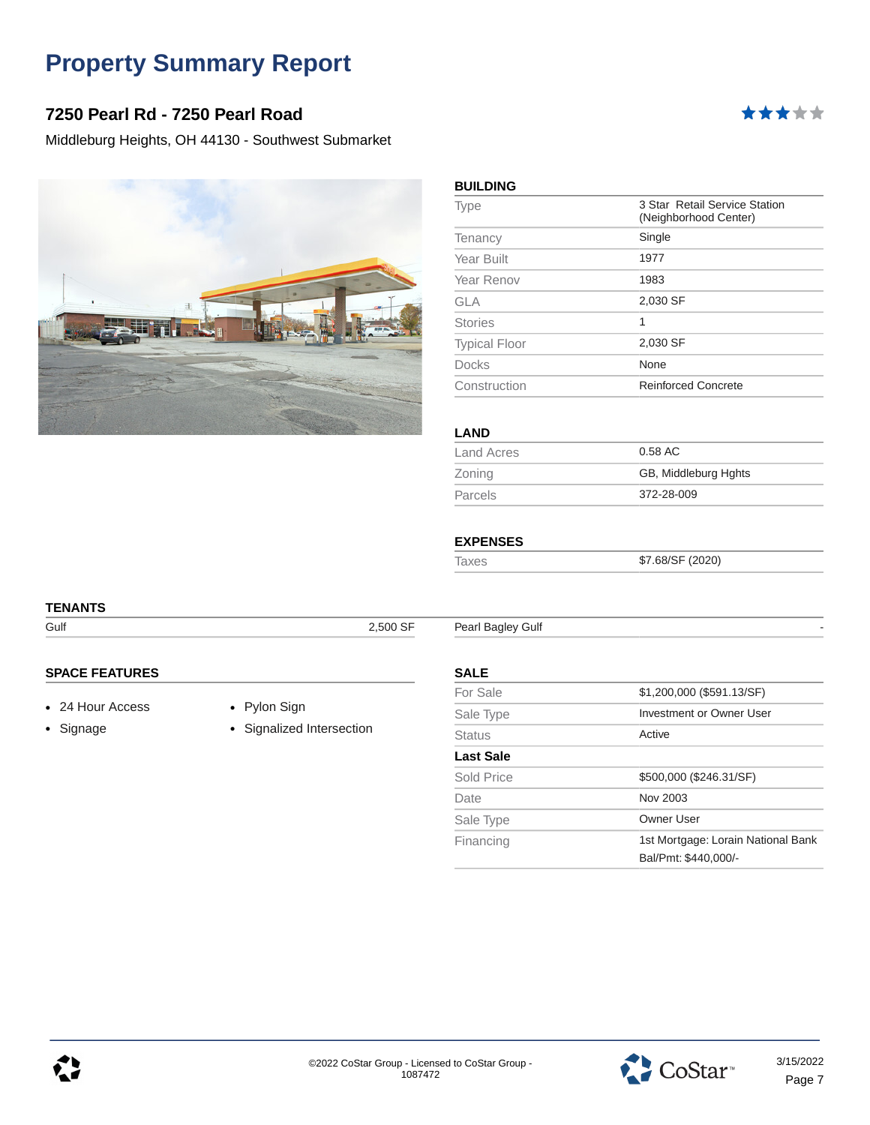### **7250 Pearl Rd - 7250 Pearl Road**

Middleburg Heights, OH 44130 - Southwest Submarket



| <b>Type</b>          | 3 Star Retail Service Station<br>(Neighborhood Center) |
|----------------------|--------------------------------------------------------|
| Tenancy              | Single                                                 |
| Year Built           | 1977                                                   |
| Year Renov           | 1983                                                   |
| <b>GLA</b>           | 2,030 SF                                               |
| <b>Stories</b>       | 1                                                      |
| <b>Typical Floor</b> | 2,030 SF                                               |
| <b>Docks</b>         | None                                                   |
| Construction         | <b>Reinforced Concrete</b>                             |

\*\*\*\*\*

#### **LAND**

| Land Acres | 0.58 AC              |
|------------|----------------------|
| Zoning     | GB, Middleburg Hghts |
| Parcels    | 372-28-009           |

#### **EXPENSES**

Taxes \$7.68/SF (2020)

# **TENANTS**

Gulf **2,500 SF** Pearl Bagley Gulf

### **SPACE FEATURES**

- 24 Hour Access Pylon Sign
- 

• Signage • Signalized Intersection

### **SALE**

| For Sale         | \$1,200,000 (\$591.13/SF)                                  |  |
|------------------|------------------------------------------------------------|--|
| Sale Type        | Investment or Owner User                                   |  |
| Status           | Active                                                     |  |
| <b>Last Sale</b> |                                                            |  |
| Sold Price       | \$500,000 (\$246.31/SF)                                    |  |
| Date             | Nov 2003                                                   |  |
| Sale Type        | Owner User                                                 |  |
| Financing        | 1st Mortgage: Lorain National Bank<br>Bal/Pmt: \$440.000/- |  |



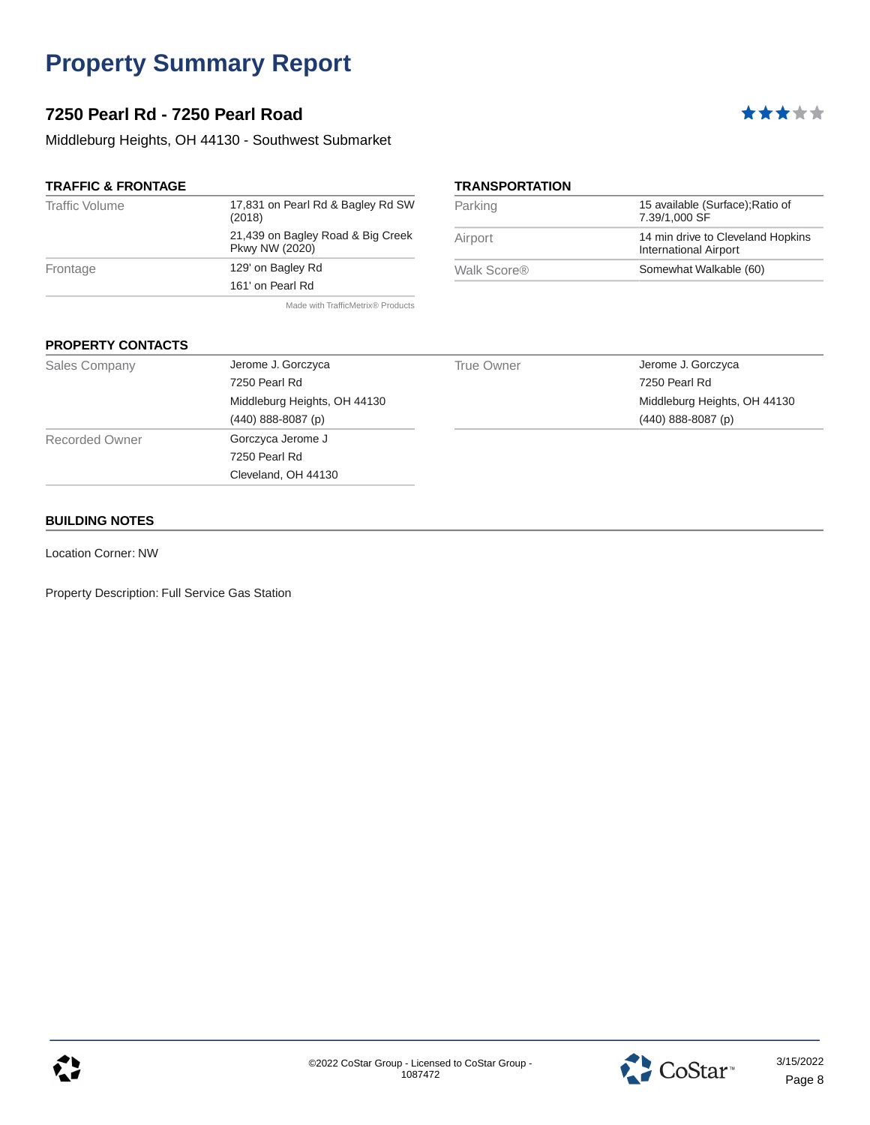### **7250 Pearl Rd - 7250 Pearl Road**

Middleburg Heights, OH 44130 - Southwest Submarket

#### **TRAFFIC & FRONTAGE**

| <b>Traffic Volume</b> | 17,831 on Pearl Rd & Bagley Rd SW<br>(2018)         |
|-----------------------|-----------------------------------------------------|
|                       | 21,439 on Bagley Road & Big Creek<br>Pkwy NW (2020) |
| Frontage              | 129' on Bagley Rd                                   |
|                       | 161' on Pearl Rd                                    |
|                       |                                                     |

Made with TrafficMetrix® Products

# **TRANSPORTATION**

| Parking     | 15 available (Surface); Ratio of<br>7.39/1.000 SF                 |
|-------------|-------------------------------------------------------------------|
| Airport     | 14 min drive to Cleveland Hopkins<br><b>International Airport</b> |
| Walk Score® | Somewhat Walkable (60)                                            |

\*\*\*\*\*

#### **PROPERTY CONTACTS**

| <b>Sales Company</b>  | Jerome J. Gorczyca           | True Owner | Jerome J. Gorczyca           |
|-----------------------|------------------------------|------------|------------------------------|
|                       | 7250 Pearl Rd                |            | 7250 Pearl Rd                |
|                       | Middleburg Heights, OH 44130 |            | Middleburg Heights, OH 44130 |
|                       | $(440)$ 888-8087 (p)         |            | $(440)$ 888-8087 (p)         |
| <b>Recorded Owner</b> | Gorczyca Jerome J            |            |                              |
|                       | 7250 Pearl Rd                |            |                              |
|                       | Cleveland, OH 44130          |            |                              |

#### **BUILDING NOTES**

Location Corner: NW

Property Description: Full Service Gas Station

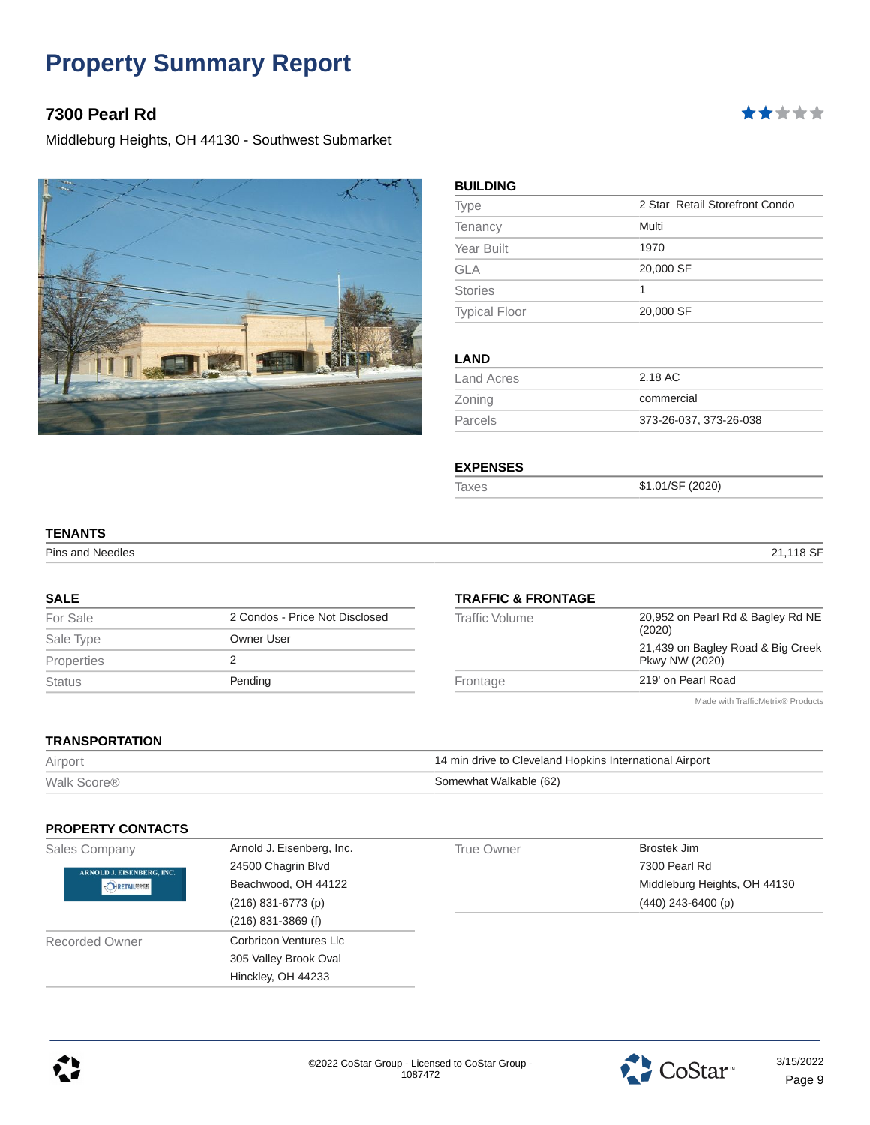### **7300 Pearl Rd**

Middleburg Heights, OH 44130 - Southwest Submarket



| <b>Type</b>          | 2 Star Retail Storefront Condo |
|----------------------|--------------------------------|
| Tenancy              | Multi                          |
| Year Built           | 1970                           |
| <b>GLA</b>           | 20,000 SF                      |
| <b>Stories</b>       | 1                              |
| <b>Typical Floor</b> | 20,000 SF                      |
|                      |                                |
| <b>LAND</b>          |                                |
| <b>Land Acres</b>    | 2.18 AC                        |
| Zoning               | commercial                     |
| Parcels              | 373-26-037, 373-26-038         |

#### **EXPENSES**

Taxes \$1.01/SF (2020)

# **TENANTS**

Pins and Needles 21,118 SF

\*\*\*\*\*

#### **SALE**

| For Sale      | 2 Condos - Price Not Disclosed |
|---------------|--------------------------------|
| Sale Type     | Owner User                     |
| Properties    |                                |
| <b>Status</b> | Pending                        |
|               |                                |

#### **TRAFFIC & FRONTAGE**

| Traffic Volume | 20,952 on Pearl Rd & Bagley Rd NE<br>(2020)         |
|----------------|-----------------------------------------------------|
|                | 21,439 on Bagley Road & Big Creek<br>Pkwy NW (2020) |
| Frontage       | 219' on Pearl Road                                  |
|                | Made with TrafficMetrix® Products                   |

#### **TRANSPORTATION**

| Airport                 | 14 min drive to Cleveland Hopkins International Airport |
|-------------------------|---------------------------------------------------------|
| Walk Score <sup>®</sup> | Somewhat Walkable (62)                                  |

#### **PROPERTY CONTACTS**

| Sales Company             | Arnold J. Eisenberg, Inc. | True Owner | Brostek Jim                  |
|---------------------------|---------------------------|------------|------------------------------|
| ARNOLD J. EISENBERG, INC. | 24500 Chagrin Blvd        |            | 7300 Pearl Rd                |
| <b>TO RETAILBROKERS</b>   | Beachwood, OH 44122       |            | Middleburg Heights, OH 44130 |
|                           | $(216)$ 831-6773 (p)      |            | $(440)$ 243-6400 (p)         |
|                           | $(216)$ 831-3869 (f)      |            |                              |
| <b>Recorded Owner</b>     | Corbricon Ventures Llc    |            |                              |
|                           | 305 Valley Brook Oval     |            |                              |
|                           | Hinckley, OH 44233        |            |                              |



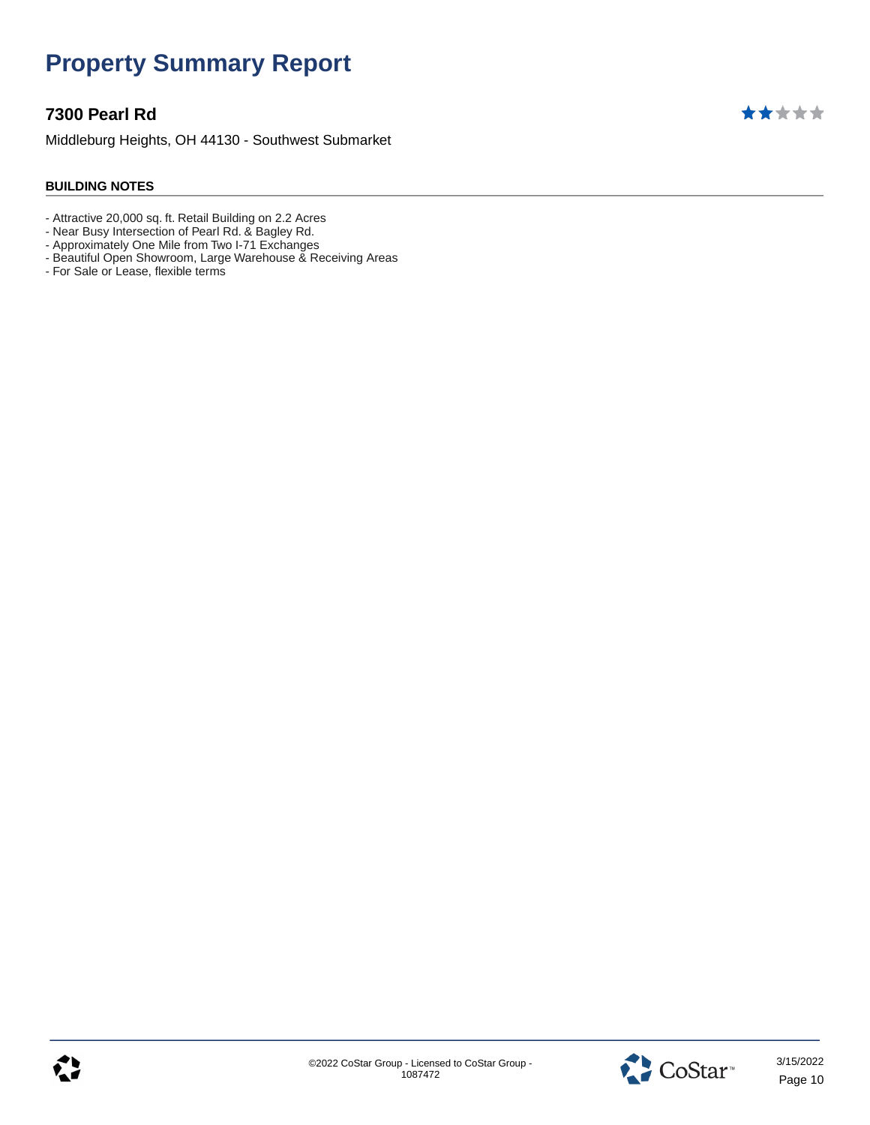### **7300 Pearl Rd**

Middleburg Heights, OH 44130 - Southwest Submarket

#### **BUILDING NOTES**

- Attractive 20,000 sq. ft. Retail Building on 2.2 Acres
- Near Busy Intersection of Pearl Rd. & Bagley Rd.
- Approximately One Mile from Two I-71 Exchanges
- Beautiful Open Showroom, Large Warehouse & Receiving Areas
- For Sale or Lease, flexible terms